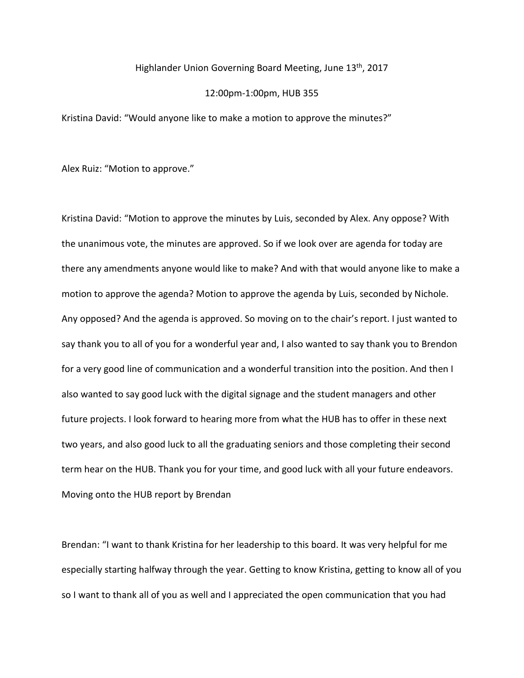## Highlander Union Governing Board Meeting, June 13<sup>th</sup>, 2017

## 12:00pm-1:00pm, HUB 355

Kristina David: "Would anyone like to make a motion to approve the minutes?"

Alex Ruiz: "Motion to approve."

Kristina David: "Motion to approve the minutes by Luis, seconded by Alex. Any oppose? With the unanimous vote, the minutes are approved. So if we look over are agenda for today are there any amendments anyone would like to make? And with that would anyone like to make a motion to approve the agenda? Motion to approve the agenda by Luis, seconded by Nichole. Any opposed? And the agenda is approved. So moving on to the chair's report. I just wanted to say thank you to all of you for a wonderful year and, I also wanted to say thank you to Brendon for a very good line of communication and a wonderful transition into the position. And then I also wanted to say good luck with the digital signage and the student managers and other future projects. I look forward to hearing more from what the HUB has to offer in these next two years, and also good luck to all the graduating seniors and those completing their second term hear on the HUB. Thank you for your time, and good luck with all your future endeavors. Moving onto the HUB report by Brendan

Brendan: "I want to thank Kristina for her leadership to this board. It was very helpful for me especially starting halfway through the year. Getting to know Kristina, getting to know all of you so I want to thank all of you as well and I appreciated the open communication that you had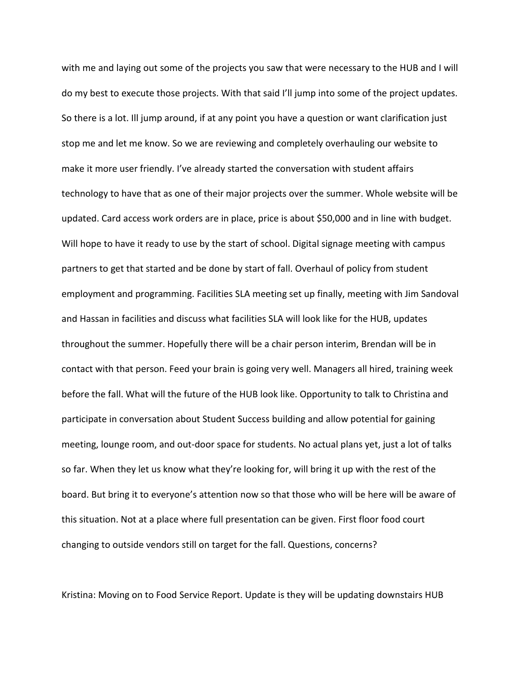with me and laying out some of the projects you saw that were necessary to the HUB and I will do my best to execute those projects. With that said I'll jump into some of the project updates. So there is a lot. Ill jump around, if at any point you have a question or want clarification just stop me and let me know. So we are reviewing and completely overhauling our website to make it more user friendly. I've already started the conversation with student affairs technology to have that as one of their major projects over the summer. Whole website will be updated. Card access work orders are in place, price is about \$50,000 and in line with budget. Will hope to have it ready to use by the start of school. Digital signage meeting with campus partners to get that started and be done by start of fall. Overhaul of policy from student employment and programming. Facilities SLA meeting set up finally, meeting with Jim Sandoval and Hassan in facilities and discuss what facilities SLA will look like for the HUB, updates throughout the summer. Hopefully there will be a chair person interim, Brendan will be in contact with that person. Feed your brain is going very well. Managers all hired, training week before the fall. What will the future of the HUB look like. Opportunity to talk to Christina and participate in conversation about Student Success building and allow potential for gaining meeting, lounge room, and out-door space for students. No actual plans yet, just a lot of talks so far. When they let us know what they're looking for, will bring it up with the rest of the board. But bring it to everyone's attention now so that those who will be here will be aware of this situation. Not at a place where full presentation can be given. First floor food court changing to outside vendors still on target for the fall. Questions, concerns?

Kristina: Moving on to Food Service Report. Update is they will be updating downstairs HUB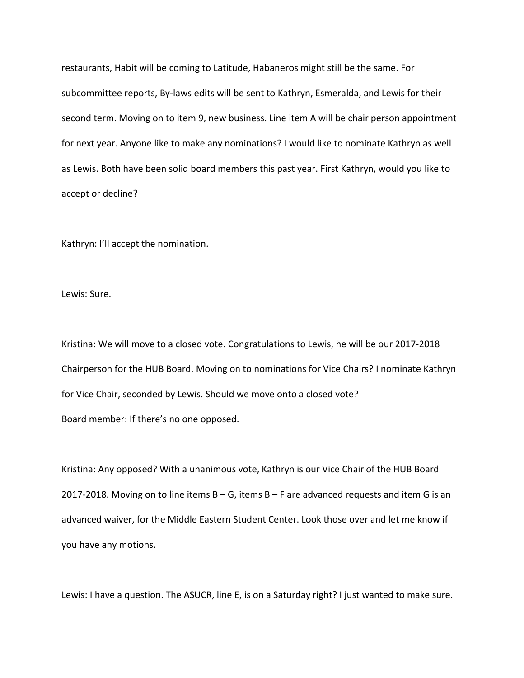restaurants, Habit will be coming to Latitude, Habaneros might still be the same. For subcommittee reports, By-laws edits will be sent to Kathryn, Esmeralda, and Lewis for their second term. Moving on to item 9, new business. Line item A will be chair person appointment for next year. Anyone like to make any nominations? I would like to nominate Kathryn as well as Lewis. Both have been solid board members this past year. First Kathryn, would you like to accept or decline?

Kathryn: I'll accept the nomination.

Lewis: Sure.

Kristina: We will move to a closed vote. Congratulations to Lewis, he will be our 2017-2018 Chairperson for the HUB Board. Moving on to nominations for Vice Chairs? I nominate Kathryn for Vice Chair, seconded by Lewis. Should we move onto a closed vote? Board member: If there's no one opposed.

Kristina: Any opposed? With a unanimous vote, Kathryn is our Vice Chair of the HUB Board 2017-2018. Moving on to line items  $B - G$ , items  $B - F$  are advanced requests and item G is an advanced waiver, for the Middle Eastern Student Center. Look those over and let me know if you have any motions.

Lewis: I have a question. The ASUCR, line E, is on a Saturday right? I just wanted to make sure.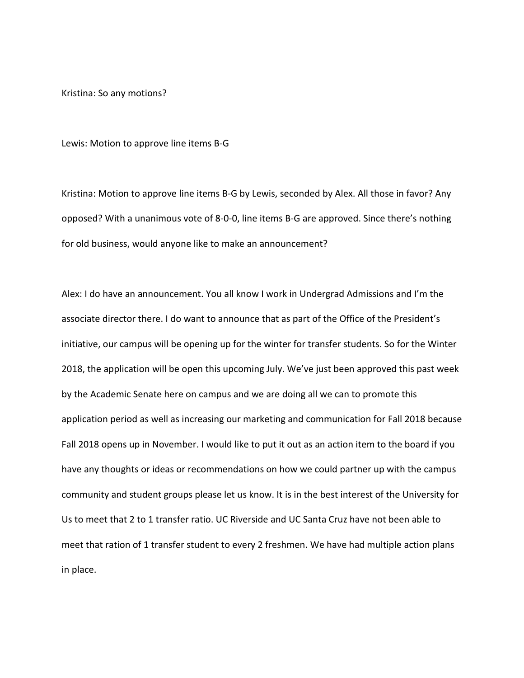Kristina: So any motions?

Lewis: Motion to approve line items B-G

Kristina: Motion to approve line items B-G by Lewis, seconded by Alex. All those in favor? Any opposed? With a unanimous vote of 8-0-0, line items B-G are approved. Since there's nothing for old business, would anyone like to make an announcement?

Alex: I do have an announcement. You all know I work in Undergrad Admissions and I'm the associate director there. I do want to announce that as part of the Office of the President's initiative, our campus will be opening up for the winter for transfer students. So for the Winter 2018, the application will be open this upcoming July. We've just been approved this past week by the Academic Senate here on campus and we are doing all we can to promote this application period as well as increasing our marketing and communication for Fall 2018 because Fall 2018 opens up in November. I would like to put it out as an action item to the board if you have any thoughts or ideas or recommendations on how we could partner up with the campus community and student groups please let us know. It is in the best interest of the University for Us to meet that 2 to 1 transfer ratio. UC Riverside and UC Santa Cruz have not been able to meet that ration of 1 transfer student to every 2 freshmen. We have had multiple action plans in place.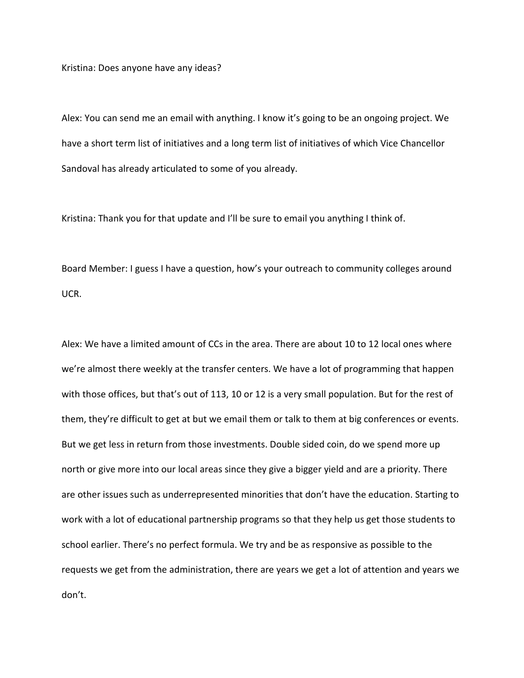Kristina: Does anyone have any ideas?

Alex: You can send me an email with anything. I know it's going to be an ongoing project. We have a short term list of initiatives and a long term list of initiatives of which Vice Chancellor Sandoval has already articulated to some of you already.

Kristina: Thank you for that update and I'll be sure to email you anything I think of.

Board Member: I guess I have a question, how's your outreach to community colleges around UCR.

Alex: We have a limited amount of CCs in the area. There are about 10 to 12 local ones where we're almost there weekly at the transfer centers. We have a lot of programming that happen with those offices, but that's out of 113, 10 or 12 is a very small population. But for the rest of them, they're difficult to get at but we email them or talk to them at big conferences or events. But we get less in return from those investments. Double sided coin, do we spend more up north or give more into our local areas since they give a bigger yield and are a priority. There are other issues such as underrepresented minorities that don't have the education. Starting to work with a lot of educational partnership programs so that they help us get those students to school earlier. There's no perfect formula. We try and be as responsive as possible to the requests we get from the administration, there are years we get a lot of attention and years we don't.